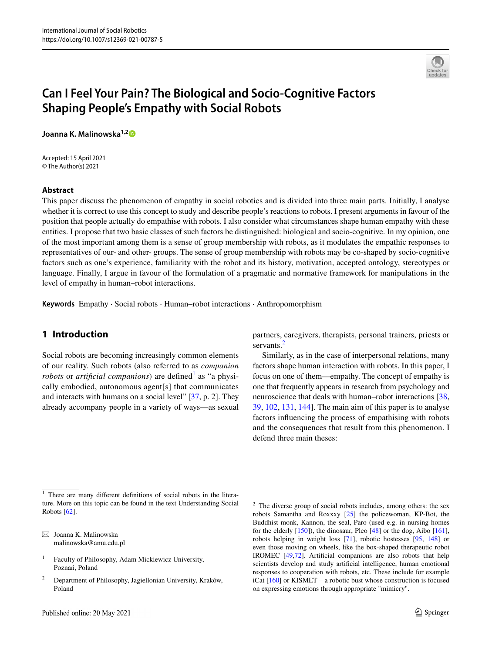

# **Can I Feel Your Pain? The Biological and Socio‑Cognitive Factors Shaping People's Empathy with Social Robots**

**Joanna K. Malinowska1,[2](http://orcid.org/0000-0002-8330-5234)**

Accepted: 15 April 2021 © The Author(s) 2021

#### **Abstract**

This paper discuss the phenomenon of empathy in social robotics and is divided into three main parts. Initially, I analyse whether it is correct to use this concept to study and describe people's reactions to robots. I present arguments in favour of the position that people actually do empathise with robots. I also consider what circumstances shape human empathy with these entities. I propose that two basic classes of such factors be distinguished: biological and socio-cognitive. In my opinion, one of the most important among them is a sense of group membership with robots, as it modulates the empathic responses to representatives of our- and other- groups. The sense of group membership with robots may be co-shaped by socio-cognitive factors such as one's experience, familiarity with the robot and its history, motivation, accepted ontology, stereotypes or language. Finally, I argue in favour of the formulation of a pragmatic and normative framework for manipulations in the level of empathy in human–robot interactions.

**Keywords** Empathy · Social robots · Human–robot interactions · Anthropomorphism

# **1 Introduction**

Social robots are becoming increasingly common elements of our reality. Such robots (also referred to as *companion robots* or *artificial companions*) are defined<sup>[1](#page-0-0)</sup> as "a physically embodied, autonomous agent[s] that communicates and interacts with humans on a social level" [\[37](#page-10-0), p. 2]. They already accompany people in a variety of ways—as sexual

partners, caregivers, therapists, personal trainers, priests or servants.<sup>[2](#page-0-1)</sup>

Similarly, as in the case of interpersonal relations, many factors shape human interaction with robots. In this paper, I focus on one of them—empathy. The concept of empathy is one that frequently appears in research from psychology and neuroscience that deals with human–robot interactions [[38,](#page-10-1) [39](#page-10-2), [102](#page-12-0), [131](#page-13-0), [144](#page-13-1)]. The main aim of this paper is to analyse factors infuencing the process of empathising with robots and the consequences that result from this phenomenon. I defend three main theses:

 $\boxtimes$  Joanna K. Malinowska malinowska@amu.edu.pl

<span id="page-0-0"></span><sup>&</sup>lt;sup>1</sup> There are many different definitions of social robots in the literature. More on this topic can be found in the text Understanding Social Robots [[62](#page-11-0)].

<sup>&</sup>lt;sup>1</sup> Faculty of Philosophy, Adam Mickiewicz University, Poznań, Poland

<sup>2</sup> Department of Philosophy, Jagiellonian University, Kraków, Poland

<span id="page-0-1"></span><sup>&</sup>lt;sup>2</sup> The diverse group of social robots includes, among others: the sex robots Samantha and Roxxxy [[25](#page-10-3)] the policewoman, KP-Bot, the Buddhist monk, Kannon, the seal, Paro (used e.g. in nursing homes for the elderly [\[150\]](#page-13-2)), the dinosaur, Pleo [\[48\]](#page-11-1) or the dog, Aibo [[161](#page-13-3)], robots helping in weight loss [[71](#page-11-2)], robotic hostesses [[95](#page-12-1), [148](#page-13-4)] or even those moving on wheels, like the box-shaped therapeutic robot IROMEC [\[49,](#page-11-3)[72](#page-11-4)]. Artifcial companions are also robots that help scientists develop and study artifcial intelligence, human emotional responses to cooperation with robots, etc. These include for example iCat [\[160](#page-13-5)] or KISMET – a robotic bust whose construction is focused on expressing emotions through appropriate "mimicry".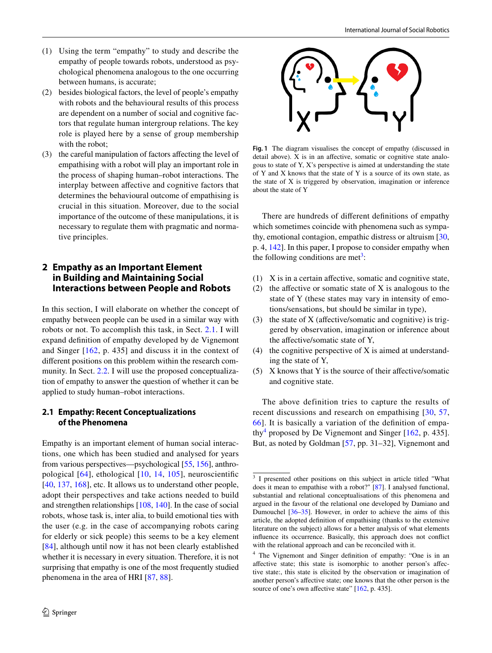- (1) Using the term "empathy" to study and describe the empathy of people towards robots, understood as psychological phenomena analogous to the one occurring between humans, is accurate;
- (2) besides biological factors, the level of people's empathy with robots and the behavioural results of this process are dependent on a number of social and cognitive factors that regulate human intergroup relations. The key role is played here by a sense of group membership with the robot;
- (3) the careful manipulation of factors afecting the level of empathising with a robot will play an important role in the process of shaping human–robot interactions. The interplay between afective and cognitive factors that determines the behavioural outcome of empathising is crucial in this situation. Moreover, due to the social importance of the outcome of these manipulations, it is necessary to regulate them with pragmatic and normative principles.

# <span id="page-1-4"></span>**2 Empathy as an Important Element in Building and Maintaining Social Interactions between People and Robots**

In this section, I will elaborate on whether the concept of empathy between people can be used in a similar way with robots or not. To accomplish this task, in Sect. [2.1](#page-1-0). I will expand defnition of empathy developed by de Vignemont and Singer [\[162,](#page-13-6) p. 435] and discuss it in the context of diferent positions on this problem within the research com-munity. In Sect. [2.2](#page-2-0). I will use the proposed conceptualization of empathy to answer the question of whether it can be applied to study human–robot interactions.

## <span id="page-1-0"></span>**2.1 Empathy: Recent Conceptualizations of the Phenomena**

Empathy is an important element of human social interactions, one which has been studied and analysed for years from various perspectives—psychological [\[55](#page-11-5), [156](#page-13-7)], anthropological [[64](#page-11-6)], ethological [[10](#page-10-4), [14,](#page-10-5) [105](#page-12-2)], neuroscientifc [\[40,](#page-10-6) [137,](#page-13-8) [168\]](#page-13-9), etc. It allows us to understand other people, adopt their perspectives and take actions needed to build and strengthen relationships [\[108,](#page-12-3) [140\]](#page-13-10). In the case of social robots, whose task is, inter alia, to build emotional ties with the user (e.g. in the case of accompanying robots caring for elderly or sick people) this seems to be a key element [\[84\]](#page-11-7), although until now it has not been clearly established whether it is necessary in every situation. Therefore, it is not surprising that empathy is one of the most frequently studied phenomena in the area of HRI [\[87,](#page-12-4) [88\]](#page-12-5).



<span id="page-1-3"></span>**Fig. 1** The diagram visualises the concept of empathy (discussed in detail above). X is in an afective, somatic or cognitive state analogous to state of Y, X's perspective is aimed at understanding the state of Y and X knows that the state of Y is a source of its own state, as the state of X is triggered by observation, imagination or inference about the state of Y

There are hundreds of diferent defnitions of empathy which sometimes coincide with phenomena such as sympathy, emotional contagion, empathic distress or altruism [[30,](#page-10-7) p. 4, [142](#page-13-11)]. In this paper, I propose to consider empathy when the following conditions are met<sup>[3](#page-1-1)</sup>:

- (1) X is in a certain afective, somatic and cognitive state,
- (2) the affective or somatic state of  $X$  is analogous to the state of Y (these states may vary in intensity of emotions/sensations, but should be similar in type),
- (3) the state of  $X$  (affective/somatic and cognitive) is triggered by observation, imagination or inference about the afective/somatic state of Y,
- (4) the cognitive perspective of X is aimed at understanding the state of Y,
- (5) X knows that Y is the source of their afective/somatic and cognitive state.

The above definition tries to capture the results of recent discussions and research on empathising [[30](#page-10-7), [57,](#page-11-8) [66\]](#page-11-9). It is basically a variation of the defnition of empa-thy<sup>[4](#page-1-2)</sup> proposed by De Vignemont and Singer  $[162, p. 435]$  $[162, p. 435]$  $[162, p. 435]$ . But, as noted by Goldman [[57,](#page-11-8) pp. 31–32], Vignemont and

<span id="page-1-1"></span><sup>&</sup>lt;sup>3</sup> I presented other positions on this subject in article titled "What does it mean to empathise with a robot?" [[87](#page-12-4)]. I analysed functional, substantial and relational conceptualisations of this phenomena and argued in the favour of the relational one developed by Damiano and Dumouchel [[36](#page-10-8)–[35](#page-10-9)]. However, in order to achieve the aims of this article, the adopted defnition of empathising (thanks to the extensive literature on the subject) allows for a better analysis of what elements infuence its occurrence. Basically, this approach does not confict with the relational approach and can be reconciled with it.

<span id="page-1-2"></span><sup>&</sup>lt;sup>4</sup> The Vignemont and Singer definition of empathy: "One is in an afective state; this state is isomorphic to another person's afective state:, this state is elicited by the observation or imagination of another person's afective state; one knows that the other person is the source of one's own affective state" [[162](#page-13-6), p. 435].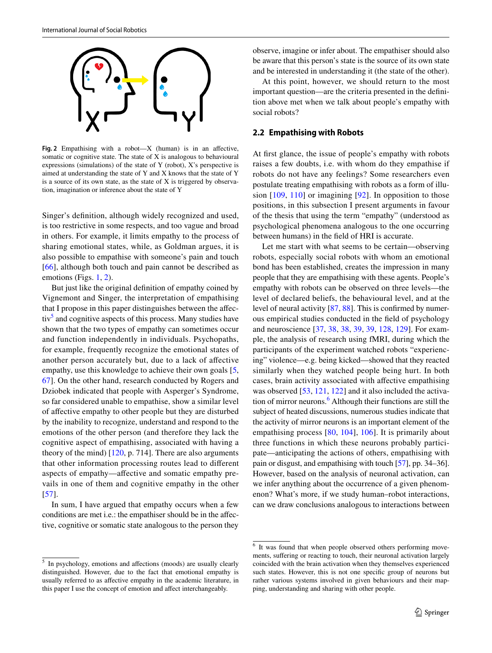

<span id="page-2-1"></span>**Fig. 2** Empathising with a robot—X (human) is in an afective, somatic or cognitive state. The state of X is analogous to behavioural expressions (simulations) of the state of Y (robot), X's perspective is aimed at understanding the state of Y and X knows that the state of Y is a source of its own state, as the state of X is triggered by observation, imagination or inference about the state of Y

Singer's defnition, although widely recognized and used, is too restrictive in some respects, and too vague and broad in others. For example, it limits empathy to the process of sharing emotional states, while, as Goldman argues, it is also possible to empathise with someone's pain and touch [\[66\]](#page-11-9), although both touch and pain cannot be described as emotions (Figs. [1](#page-1-3), [2](#page-2-1)).

But just like the original defnition of empathy coined by Vignemont and Singer, the interpretation of empathising that I propose in this paper distinguishes between the afec-tiv<sup>[5](#page-2-2)</sup> and cognitive aspects of this process. Many studies have shown that the two types of empathy can sometimes occur and function independently in individuals. Psychopaths, for example, frequently recognize the emotional states of another person accurately but, due to a lack of afective empathy, use this knowledge to achieve their own goals [[5,](#page-10-10) [67](#page-11-10)]. On the other hand, research conducted by Rogers and Dziobek indicated that people with Asperger's Syndrome, so far considered unable to empathise, show a similar level of afective empathy to other people but they are disturbed by the inability to recognize, understand and respond to the emotions of the other person (and therefore they lack the cognitive aspect of empathising, associated with having a theory of the mind)  $[120, p. 714]$  $[120, p. 714]$  $[120, p. 714]$ . There are also arguments that other information processing routes lead to diferent aspects of empathy—afective and somatic empathy prevails in one of them and cognitive empathy in the other [\[57\]](#page-11-8).

In sum, I have argued that empathy occurs when a few conditions are met i.e.: the empathiser should be in the afective, cognitive or somatic state analogous to the person they observe, imagine or infer about. The empathiser should also be aware that this person's state is the source of its own state and be interested in understanding it (the state of the other).

At this point, however, we should return to the most important question—are the criteria presented in the defnition above met when we talk about people's empathy with social robots?

#### <span id="page-2-0"></span>**2.2 Empathising with Robots**

At frst glance, the issue of people's empathy with robots raises a few doubts, i.e. with whom do they empathise if robots do not have any feelings? Some researchers even postulate treating empathising with robots as a form of illusion [[109](#page-12-7), [110\]](#page-12-8) or imagining [\[92\]](#page-12-9). In opposition to those positions, in this subsection I present arguments in favour of the thesis that using the term "empathy" (understood as psychological phenomena analogous to the one occurring between humans) in the feld of HRI is accurate.

Let me start with what seems to be certain—observing robots, especially social robots with whom an emotional bond has been established, creates the impression in many people that they are empathising with these agents. People's empathy with robots can be observed on three levels—the level of declared beliefs, the behavioural level, and at the level of neural activity [\[87,](#page-12-4) [88](#page-12-5)]. This is confrmed by numerous empirical studies conducted in the feld of psychology and neuroscience [\[37](#page-10-0), [38,](#page-10-1) [38,](#page-10-1) [39](#page-10-2), [39](#page-10-2), [128,](#page-12-10) [129](#page-13-12)]. For example, the analysis of research using fMRI, during which the participants of the experiment watched robots "experiencing" violence—e.g. being kicked—showed that they reacted similarly when they watched people being hurt. In both cases, brain activity associated with afective empathising was observed [[53](#page-11-11), [121](#page-12-11), [122](#page-12-12)] and it also included the activa-tion of mirror neurons.<sup>[6](#page-2-3)</sup> Although their functions are still the subject of heated discussions, numerous studies indicate that the activity of mirror neurons is an important element of the empathising process [[80,](#page-11-12) [104\]](#page-12-13), [106](#page-12-14)]. It is primarily about three functions in which these neurons probably participate—anticipating the actions of others, empathising with pain or disgust, and empathising with touch [[57\]](#page-11-8), pp. 34–36]. However, based on the analysis of neuronal activation, can we infer anything about the occurrence of a given phenomenon? What's more, if we study human–robot interactions, can we draw conclusions analogous to interactions between

<span id="page-2-2"></span><sup>5</sup> In psychology, emotions and afections (moods) are usually clearly distinguished. However, due to the fact that emotional empathy is usually referred to as afective empathy in the academic literature, in this paper I use the concept of emotion and afect interchangeably.

<span id="page-2-3"></span><sup>6</sup> It was found that when people observed others performing movements, sufering or reacting to touch, their neuronal activation largely coincided with the brain activation when they themselves experienced such states. However, this is not one specifc group of neurons but rather various systems involved in given behaviours and their mapping, understanding and sharing with other people.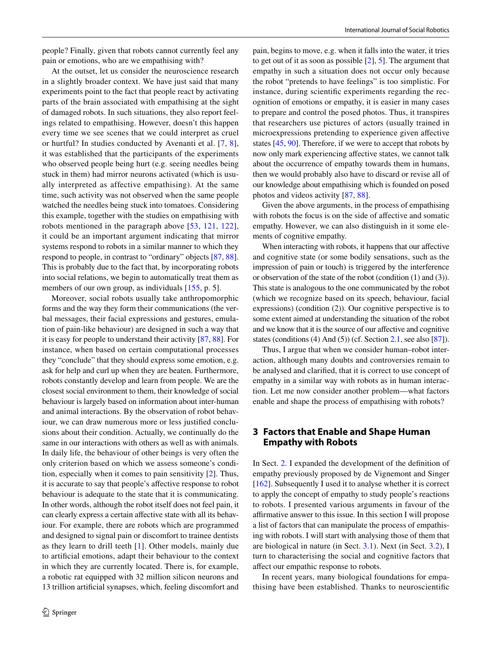people? Finally, given that robots cannot currently feel any pain or emotions, who are we empathising with?

At the outset, let us consider the neuroscience research in a slightly broader context. We have just said that many experiments point to the fact that people react by activating parts of the brain associated with empathising at the sight of damaged robots. In such situations, they also report feelings related to empathising. However, doesn't this happen every time we see scenes that we could interpret as cruel or hurtful? In studies conducted by Avenanti et al. [\[7](#page-10-11), [8](#page-10-12)], it was established that the participants of the experiments who observed people being hurt (e.g. seeing needles being stuck in them) had mirror neurons activated (which is usually interpreted as affective empathising). At the same time, such activity was not observed when the same people watched the needles being stuck into tomatoes. Considering this example, together with the studies on empathising with robots mentioned in the paragraph above [[53](#page-11-11), [121,](#page-12-11) [122](#page-12-12)], it could be an important argument indicating that mirror systems respond to robots in a similar manner to which they respond to people, in contrast to "ordinary" objects [[87,](#page-12-4) [88](#page-12-5)]. This is probably due to the fact that, by incorporating robots into social relations, we begin to automatically treat them as members of our own group, as individuals [[155](#page-13-13), p. 5].

Moreover, social robots usually take anthropomorphic forms and the way they form their communications (the verbal messages, their facial expressions and gestures, emulation of pain-like behaviour) are designed in such a way that it is easy for people to understand their activity [\[87](#page-12-4), [88](#page-12-5)]. For instance, when based on certain computational processes they "conclude" that they should express some emotion, e.g. ask for help and curl up when they are beaten. Furthermore, robots constantly develop and learn from people. We are the closest social environment to them, their knowledge of social behaviour is largely based on information about inter-human and animal interactions. By the observation of robot behaviour, we can draw numerous more or less justifed conclusions about their condition. Actually, we continually do the same in our interactions with others as well as with animals. In daily life, the behaviour of other beings is very often the only criterion based on which we assess someone's condition, especially when it comes to pain sensitivity [[2](#page-10-13)]. Thus, it is accurate to say that people's afective response to robot behaviour is adequate to the state that it is communicating. In other words, although the robot itself does not feel pain, it can clearly express a certain afective state with all its behaviour. For example, there are robots which are programmed and designed to signal pain or discomfort to trainee dentists as they learn to drill teeth [\[1](#page-10-14)]. Other models, mainly due to artifcial emotions, adapt their behaviour to the context in which they are currently located. There is, for example, a robotic rat equipped with 32 million silicon neurons and 13 trillion artifcial synapses, which, feeling discomfort and pain, begins to move, e.g. when it falls into the water, it tries to get out of it as soon as possible [[2](#page-10-13)], [5](#page-10-10)]. The argument that empathy in such a situation does not occur only because the robot "pretends to have feelings" is too simplistic. For instance, during scientifc experiments regarding the recognition of emotions or empathy, it is easier in many cases to prepare and control the posed photos. Thus, it transpires that researchers use pictures of actors (usually trained in microexpressions pretending to experience given afective states [[45,](#page-11-13) [90](#page-12-15)]. Therefore, if we were to accept that robots by now only mark experiencing afective states, we cannot talk about the occurrence of empathy towards them in humans, then we would probably also have to discard or revise all of our knowledge about empathising which is founded on posed photos and videos activity [\[87,](#page-12-4) [88\]](#page-12-5).

Given the above arguments, in the process of empathising with robots the focus is on the side of affective and somatic empathy. However, we can also distinguish in it some elements of cognitive empathy.

When interacting with robots, it happens that our affective and cognitive state (or some bodily sensations, such as the impression of pain or touch) is triggered by the interference or observation of the state of the robot (condition (1) and (3)). This state is analogous to the one communicated by the robot (which we recognize based on its speech, behaviour, facial expressions) (condition (2)). Our cognitive perspective is to some extent aimed at understanding the situation of the robot and we know that it is the source of our afective and cognitive states (conditions (4) And (5)) (cf. Section [2.1,](#page-1-0) see also [\[87](#page-12-4)]).

Thus, I argue that when we consider human–robot interaction, although many doubts and controversies remain to be analysed and clarifed, that it is correct to use concept of empathy in a similar way with robots as in human interaction. Let me now consider another problem—what factors enable and shape the process of empathising with robots?

## **3 Factors that Enable and Shape Human Empathy with Robots**

In Sect. [2](#page-1-4). I expanded the development of the defnition of empathy previously proposed by de Vignemont and Singer [\[162\]](#page-13-6). Subsequently I used it to analyse whether it is correct to apply the concept of empathy to study people's reactions to robots. I presented various arguments in favour of the afrmative answer to this issue. In this section I will propose a list of factors that can manipulate the process of empathising with robots. I will start with analysing those of them that are biological in nature (in Sect. [3.1](#page-4-0)). Next (in Sect. [3.2](#page-6-0)), I turn to characterising the social and cognitive factors that afect our empathic response to robots.

In recent years, many biological foundations for empathising have been established. Thanks to neuroscientifc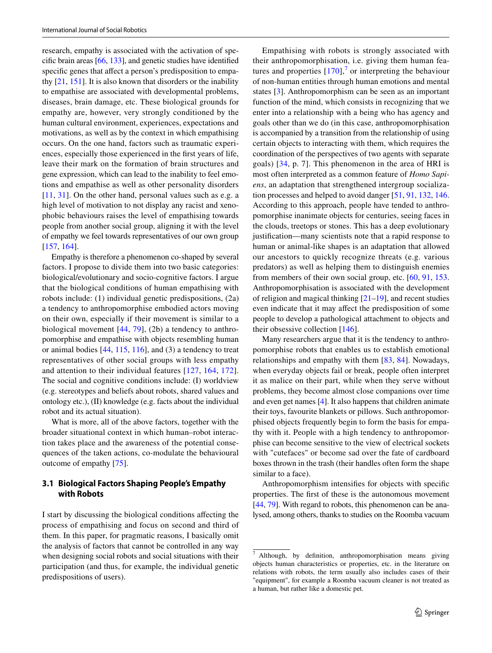research, empathy is associated with the activation of specific brain areas  $[66, 133]$  $[66, 133]$  $[66, 133]$ , and genetic studies have identified specific genes that affect a person's predisposition to empathy  $[21, 151]$  $[21, 151]$  $[21, 151]$ . It is also known that disorders or the inability to empathise are associated with developmental problems, diseases, brain damage, etc. These biological grounds for empathy are, however, very strongly conditioned by the human cultural environment, experiences, expectations and motivations, as well as by the context in which empathising occurs. On the one hand, factors such as traumatic experiences, especially those experienced in the frst years of life, leave their mark on the formation of brain structures and gene expression, which can lead to the inability to feel emotions and empathise as well as other personality disorders [\[11,](#page-10-16) [31](#page-10-17)]. On the other hand, personal values such as e.g. a high level of motivation to not display any racist and xenophobic behaviours raises the level of empathising towards people from another social group, aligning it with the level of empathy we feel towards representatives of our own group [\[157,](#page-13-16) [164\]](#page-13-17).

Empathy is therefore a phenomenon co-shaped by several factors. I propose to divide them into two basic categories: biological/evolutionary and socio-cognitive factors. I argue that the biological conditions of human empathising with robots include: (1) individual genetic predispositions, (2a) a tendency to anthropomorphise embodied actors moving on their own, especially if their movement is similar to a biological movement [[44](#page-11-14), [79](#page-11-15)], (2b) a tendency to anthropomorphise and empathise with objects resembling human or animal bodies [\[44](#page-11-14), [115,](#page-12-16) [116\]](#page-12-17), and (3) a tendency to treat representatives of other social groups with less empathy and attention to their individual features [[127](#page-12-18), [164](#page-13-17), [172](#page-13-18)]. The social and cognitive conditions include: (I) worldview (e.g. stereotypes and beliefs about robots, shared values and ontology etc.), (II) knowledge (e.g. facts about the individual robot and its actual situation).

What is more, all of the above factors, together with the broader situational context in which human–robot interaction takes place and the awareness of the potential consequences of the taken actions, co-modulate the behavioural outcome of empathy [[75\]](#page-11-16).

## <span id="page-4-0"></span>**3.1 Biological Factors Shaping People's Empathy with Robots**

I start by discussing the biological conditions afecting the process of empathising and focus on second and third of them. In this paper, for pragmatic reasons, I basically omit the analysis of factors that cannot be controlled in any way when designing social robots and social situations with their participation (and thus, for example, the individual genetic predispositions of users).

Empathising with robots is strongly associated with their anthropomorphisation, i.e. giving them human features and properties  $[170]$  $[170]$  $[170]$ ,<sup>[7](#page-4-1)</sup> or interpreting the behaviour of non-human entities through human emotions and mental states [[3\]](#page-10-18). Anthropomorphism can be seen as an important function of the mind, which consists in recognizing that we enter into a relationship with a being who has agency and goals other than we do (in this case, anthropomorphisation is accompanied by a transition from the relationship of using certain objects to interacting with them, which requires the coordination of the perspectives of two agents with separate goals) [[34](#page-10-19), p. 7]. This phenomenon in the area of HRI is most often interpreted as a common feature of *Homo Sapiens*, an adaptation that strengthened intergroup socialization processes and helped to avoid danger [\[51](#page-11-17), [91](#page-12-19), [132,](#page-13-20) [146.](#page-13-21) According to this approach, people have tended to anthropomorphise inanimate objects for centuries, seeing faces in the clouds, treetops or stones. This has a deep evolutionary justifcation—many scientists note that a rapid response to human or animal-like shapes is an adaptation that allowed our ancestors to quickly recognize threats (e.g. various predators) as well as helping them to distinguish enemies from members of their own social group, etc. [[60](#page-11-18), [91](#page-12-19), [153.](#page-13-22) Anthropomorphisation is associated with the development of religion and magical thinking  $[21–19]$  $[21–19]$  $[21–19]$ , and recent studies even indicate that it may afect the predisposition of some people to develop a pathological attachment to objects and their obsessive collection [[146](#page-13-21)].

Many researchers argue that it is the tendency to anthropomorphise robots that enables us to establish emotional relationships and empathy with them [[83](#page-11-19), [84\]](#page-11-7). Nowadays, when everyday objects fail or break, people often interpret it as malice on their part, while when they serve without problems, they become almost close companions over time and even get names [[4\]](#page-10-21). It also happens that children animate their toys, favourite blankets or pillows. Such anthropomorphised objects frequently begin to form the basis for empathy with it. People with a high tendency to anthropomorphise can become sensitive to the view of electrical sockets with "cutefaces" or become sad over the fate of cardboard boxes thrown in the trash (their handles often form the shape similar to a face).

Anthropomorphism intensifes for objects with specifc properties. The frst of these is the autonomous movement [\[44](#page-11-14), [79\]](#page-11-15). With regard to robots, this phenomenon can be analysed, among others, thanks to studies on the Roomba vacuum

<span id="page-4-1"></span><sup>7</sup> Although, by defnition, anthropomorphisation means giving objects human characteristics or properties, etc. in the literature on relations with robots, the term usually also includes cases of their "equipment", for example a Roomba vacuum cleaner is not treated as a human, but rather like a domestic pet.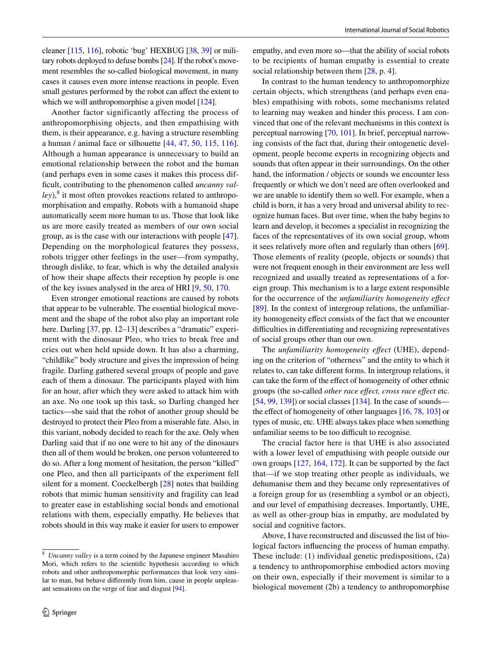cleaner [\[115,](#page-12-16) [116\]](#page-12-17), robotic 'bug' HEXBUG [[38,](#page-10-1) [39](#page-10-2)] or military robots deployed to defuse bombs [[24](#page-10-22)]. If the robot's movement resembles the so-called biological movement, in many cases it causes even more intense reactions in people. Even small gestures performed by the robot can affect the extent to which we will anthropomorphise a given model [\[124\]](#page-12-20).

Another factor significantly affecting the process of anthropomorphising objects, and then empathising with them, is their appearance, e.g. having a structure resembling a human / animal face or silhouette [[44](#page-11-14), [47,](#page-11-20) [50](#page-11-21), [115,](#page-12-16) [116](#page-12-17)]. Although a human appearance is unnecessary to build an emotional relationship between the robot and the human (and perhaps even in some cases it makes this process difficult, contributing to the phenomenon called *uncanny val-*ley),<sup>[8](#page-5-0)</sup> it most often provokes reactions related to anthropomorphisation and empathy. Robots with a humanoid shape automatically seem more human to us. Those that look like us are more easily treated as members of our own social group, as is the case with our interactions with people [\[47](#page-11-20)]. Depending on the morphological features they possess, robots trigger other feelings in the user—from sympathy, through dislike, to fear, which is why the detailed analysis of how their shape afects their reception by people is one of the key issues analysed in the area of HRI [[9](#page-10-23), [50](#page-11-21), [170](#page-13-19).

Even stronger emotional reactions are caused by robots that appear to be vulnerable. The essential biological movement and the shape of the robot also play an important role here. Darling [[37,](#page-10-0) pp. 12–13] describes a "dramatic" experiment with the dinosaur Pleo, who tries to break free and cries out when held upside down. It has also a charming, "childlike" body structure and gives the impression of being fragile. Darling gathered several groups of people and gave each of them a dinosaur. The participants played with him for an hour, after which they were asked to attack him with an axe. No one took up this task, so Darling changed her tactics—she said that the robot of another group should be destroyed to protect their Pleo from a miserable fate. Also, in this variant, nobody decided to reach for the axe. Only when Darling said that if no one were to hit any of the dinosaurs then all of them would be broken, one person volunteered to do so. After a long moment of hesitation, the person "killed" one Pleo, and then all participants of the experiment fell silent for a moment. Coeckelbergh [\[28](#page-10-24)] notes that building robots that mimic human sensitivity and fragility can lead to greater ease in establishing social bonds and emotional relations with them, especially empathy. He believes that robots should in this way make it easier for users to empower empathy, and even more so—that the ability of social robots to be recipients of human empathy is essential to create social relationship between them [\[28](#page-10-24), p. 4].

In contrast to the human tendency to anthropomorphize certain objects, which strengthens (and perhaps even enables) empathising with robots, some mechanisms related to learning may weaken and hinder this process. I am convinced that one of the relevant mechanisms in this context is perceptual narrowing [[70,](#page-11-22) [101](#page-12-21)]. In brief, perceptual narrowing consists of the fact that, during their ontogenetic development, people become experts in recognizing objects and sounds that often appear in their surroundings. On the other hand, the information / objects or sounds we encounter less frequently or which we don't need are often overlooked and we are unable to identify them so well. For example, when a child is born, it has a very broad and universal ability to recognize human faces. But over time, when the baby begins to learn and develop, it becomes a specialist in recognizing the faces of the representatives of its own social group, whom it sees relatively more often and regularly than others [\[69](#page-11-23)]. Those elements of reality (people, objects or sounds) that were not frequent enough in their environment are less well recognized and usually treated as representations of a foreign group. This mechanism is to a large extent responsible for the occurrence of the *unfamiliarity homogeneity efect* [[89\]](#page-12-22). In the context of intergroup relations, the unfamiliarity homogeneity efect consists of the fact that we encounter difficulties in differentiating and recognizing representatives of social groups other than our own.

The *unfamiliarity homogeneity efect* (UHE), depending on the criterion of "otherness" and the entity to which it relates to, can take diferent forms. In intergroup relations, it can take the form of the efect of homogeneity of other ethnic groups (the so-called *other race efect, cross race efect* etc. [\[54](#page-11-24), [99,](#page-12-23) [139](#page-13-23)]) or social classes [\[134\]](#page-13-24). In the case of sounds the effect of homogeneity of other languages  $[16, 78, 103]$  $[16, 78, 103]$  $[16, 78, 103]$  $[16, 78, 103]$  $[16, 78, 103]$  $[16, 78, 103]$  $[16, 78, 103]$  or types of music, etc. UHE always takes place when something unfamiliar seems to be too difficult to recognise.

The crucial factor here is that UHE is also associated with a lower level of empathising with people outside our own groups [[127](#page-12-18), [164](#page-13-17), [172](#page-13-18)]. It can be supported by the fact that—if we stop treating other people as individuals, we dehumanise them and they became only representatives of a foreign group for us (resembling a symbol or an object), and our level of empathising decreases. Importantly, UHE, as well as other-group bias in empathy, are modulated by social and cognitive factors.

Above, I have reconstructed and discussed the list of biological factors infuencing the process of human empathy. These include: (1) individual genetic predispositions, (2a) a tendency to anthropomorphise embodied actors moving on their own, especially if their movement is similar to a biological movement (2b) a tendency to anthropomorphise

<span id="page-5-0"></span><sup>8</sup> *Uncanny valley* is a term coined by the Japanese engineer Masahiro Mori, which refers to the scientifc hypothesis according to which robots and other anthropomorphic performances that look very similar to man, but behave diferently from him, cause in people unpleasant sensations on the verge of fear and disgust [[94](#page-12-25)].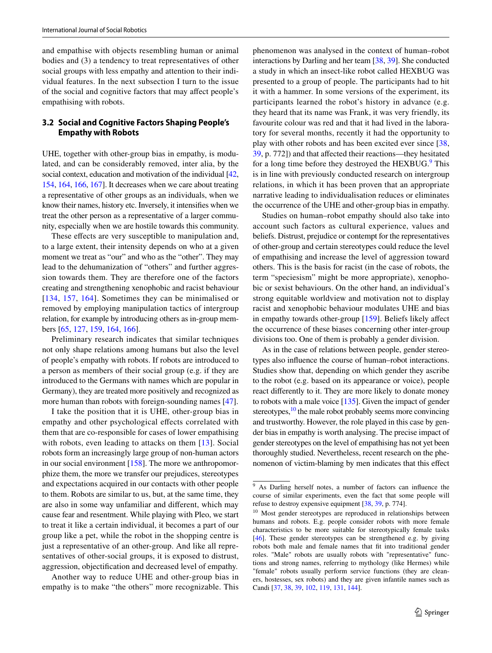and empathise with objects resembling human or animal bodies and (3) a tendency to treat representatives of other social groups with less empathy and attention to their individual features. In the next subsection I turn to the issue of the social and cognitive factors that may afect people's empathising with robots.

### <span id="page-6-0"></span>**3.2 Social and Cognitive Factors Shaping People's Empathy with Robots**

UHE, together with other-group bias in empathy, is modulated, and can be considerably removed, inter alia, by the social context, education and motivation of the individual [\[42,](#page-10-26) [154,](#page-13-25) [164](#page-13-17), [166,](#page-13-26) [167\]](#page-13-27). It decreases when we care about treating a representative of other groups as an individuals, when we know their names, history etc. Inversely, it intensifes when we treat the other person as a representative of a larger community, especially when we are hostile towards this community.

These effects are very susceptible to manipulation and, to a large extent, their intensity depends on who at a given moment we treat as "our" and who as the "other". They may lead to the dehumanization of "others" and further aggression towards them. They are therefore one of the factors creating and strengthening xenophobic and racist behaviour [[134](#page-13-24), [157,](#page-13-16) [164\]](#page-13-17). Sometimes they can be minimalised or removed by employing manipulation tactics of intergroup relation, for example by introducing others as in-group members [[65,](#page-11-26) [127,](#page-12-18) [159](#page-13-28), [164](#page-13-17), [166](#page-13-26)].

Preliminary research indicates that similar techniques not only shape relations among humans but also the level of people's empathy with robots. If robots are introduced to a person as members of their social group (e.g. if they are introduced to the Germans with names which are popular in Germany), they are treated more positively and recognized as more human than robots with foreign-sounding names [[47\]](#page-11-20).

I take the position that it is UHE, other-group bias in empathy and other psychological efects correlated with them that are co-responsible for cases of lower empathising with robots, even leading to attacks on them [[13](#page-10-27)]. Social robots form an increasingly large group of non-human actors in our social environment [[158](#page-13-29)]. The more we anthropomorphize them, the more we transfer our prejudices, stereotypes and expectations acquired in our contacts with other people to them. Robots are similar to us, but, at the same time, they are also in some way unfamiliar and diferent, which may cause fear and resentment. While playing with Pleo, we start to treat it like a certain individual, it becomes a part of our group like a pet, while the robot in the shopping centre is just a representative of an other-group. And like all representatives of other-social groups, it is exposed to distrust, aggression, objectifcation and decreased level of empathy.

Another way to reduce UHE and other-group bias in empathy is to make "the others" more recognizable. This phenomenon was analysed in the context of human–robot interactions by Darling and her team [\[38](#page-10-1), [39\]](#page-10-2). She conducted a study in which an insect-like robot called HEXBUG was presented to a group of people. The participants had to hit it with a hammer. In some versions of the experiment, its participants learned the robot's history in advance (e.g. they heard that its name was Frank, it was very friendly, its favourite colour was red and that it had lived in the laboratory for several months, recently it had the opportunity to play with other robots and has been excited ever since [[38,](#page-10-1) [39](#page-10-2), p. 772]) and that afected their reactions—they hesitated for a long time before they destroyed the HEXBUG.<sup>[9](#page-6-1)</sup> This is in line with previously conducted research on intergroup relations, in which it has been proven that an appropriate narrative leading to individualisation reduces or eliminates the occurrence of the UHE and other-group bias in empathy.

Studies on human–robot empathy should also take into account such factors as cultural experience, values and beliefs. Distrust, prejudice or contempt for the representatives of other-group and certain stereotypes could reduce the level of empathising and increase the level of aggression toward others. This is the basis for racist (in the case of robots, the term "speciesism" might be more appropriate), xenophobic or sexist behaviours. On the other hand, an individual's strong equitable worldview and motivation not to display racist and xenophobic behaviour modulates UHE and bias in empathy towards other-group [[159\]](#page-13-28). Beliefs likely afect the occurrence of these biases concerning other inter-group divisions too. One of them is probably a gender division.

As in the case of relations between people, gender stereotypes also infuence the course of human–robot interactions. Studies show that, depending on which gender they ascribe to the robot (e.g. based on its appearance or voice), people react diferently to it. They are more likely to donate money to robots with a male voice [\[135\]](#page-13-30). Given the impact of gender stereotypes, $\frac{10}{10}$  $\frac{10}{10}$  $\frac{10}{10}$  the male robot probably seems more convincing and trustworthy. However, the role played in this case by gender bias in empathy is worth analysing. The precise impact of gender stereotypes on the level of empathising has not yet been thoroughly studied. Nevertheless, recent research on the phenomenon of victim-blaming by men indicates that this efect

<span id="page-6-1"></span><sup>9</sup> As Darling herself notes, a number of factors can infuence the course of similar experiments, even the fact that some people will refuse to destroy expensive equipment [\[38,](#page-10-1) [39](#page-10-2), p. 774].

<span id="page-6-2"></span><sup>&</sup>lt;sup>10</sup> Most gender stereotypes are reproduced in relationships between humans and robots. E.g. people consider robots with more female characteristics to be more suitable for stereotypically female tasks [[46](#page-11-27)]. These gender stereotypes can be strengthened e.g. by giving robots both male and female names that ft into traditional gender roles. "Male" robots are usually robots with "representative" functions and strong names, referring to mythology (like Hermes) while "female" robots usually perform service functions (they are cleaners, hostesses, sex robots) and they are given infantile names such as Candi [\[37,](#page-10-0) [38,](#page-10-1) [39](#page-10-2), [102](#page-12-0), [119](#page-12-26), [131](#page-13-0), [144](#page-13-1)].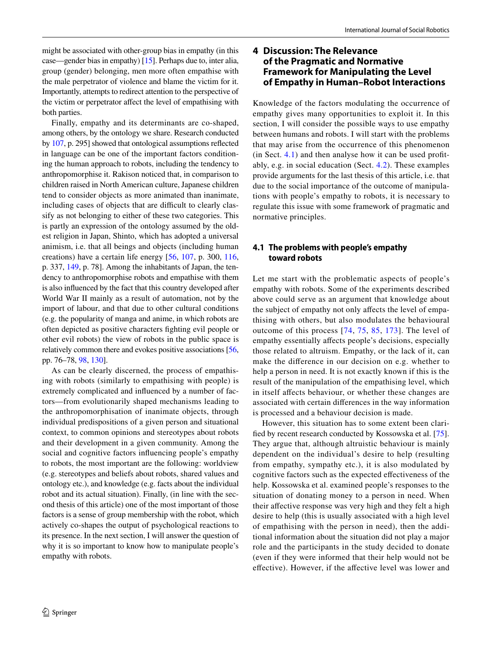might be associated with other-group bias in empathy (in this case—gender bias in empathy) [\[15\]](#page-10-28). Perhaps due to, inter alia, group (gender) belonging, men more often empathise with the male perpetrator of violence and blame the victim for it. Importantly, attempts to redirect attention to the perspective of the victim or perpetrator afect the level of empathising with both parties.

Finally, empathy and its determinants are co-shaped, among others, by the ontology we share. Research conducted by [107](#page-12-27), p. 295] showed that ontological assumptions refected in language can be one of the important factors conditioning the human approach to robots, including the tendency to anthropomorphise it. Rakison noticed that, in comparison to children raised in North American culture, Japanese children tend to consider objects as more animated than inanimate, including cases of objects that are difficult to clearly classify as not belonging to either of these two categories. This is partly an expression of the ontology assumed by the oldest religion in Japan, Shinto, which has adopted a universal animism, i.e. that all beings and objects (including human creations) have a certain life energy [[56,](#page-11-28) [107,](#page-12-27) p. 300, [116,](#page-12-17) p. 337, [149,](#page-13-31) p. 78]. Among the inhabitants of Japan, the tendency to anthropomorphise robots and empathise with them is also infuenced by the fact that this country developed after World War II mainly as a result of automation, not by the import of labour, and that due to other cultural conditions (e.g. the popularity of manga and anime, in which robots are often depicted as positive characters fghting evil people or other evil robots) the view of robots in the public space is relatively common there and evokes positive associations [[56,](#page-11-28) pp. 76–78, [98](#page-12-28), [130\]](#page-13-32).

As can be clearly discerned, the process of empathising with robots (similarly to empathising with people) is extremely complicated and infuenced by a number of factors—from evolutionarily shaped mechanisms leading to the anthropomorphisation of inanimate objects, through individual predispositions of a given person and situational context, to common opinions and stereotypes about robots and their development in a given community. Among the social and cognitive factors infuencing people's empathy to robots, the most important are the following: worldview (e.g. stereotypes and beliefs about robots, shared values and ontology etc.), and knowledge (e.g. facts about the individual robot and its actual situation). Finally, (in line with the second thesis of this article) one of the most important of those factors is a sense of group membership with the robot, which actively co-shapes the output of psychological reactions to its presence. In the next section, I will answer the question of why it is so important to know how to manipulate people's empathy with robots.

# **4 Discussion: The Relevance of the Pragmatic and Normative Framework for Manipulating the Level of Empathy in Human–Robot Interactions**

Knowledge of the factors modulating the occurrence of empathy gives many opportunities to exploit it. In this section, I will consider the possible ways to use empathy between humans and robots. I will start with the problems that may arise from the occurrence of this phenomenon (in Sect. [4.1](#page-7-0)) and then analyse how it can be used proftably, e.g. in social education (Sect. [4.2\)](#page-8-0). These examples provide arguments for the last thesis of this article, i.e. that due to the social importance of the outcome of manipulations with people's empathy to robots, it is necessary to regulate this issue with some framework of pragmatic and normative principles.

## <span id="page-7-0"></span>**4.1 The problems with people's empathy toward robots**

Let me start with the problematic aspects of people's empathy with robots. Some of the experiments described above could serve as an argument that knowledge about the subject of empathy not only afects the level of empathising with others, but also modulates the behavioural outcome of this process [\[74,](#page-11-29) [75,](#page-11-16) [85](#page-12-29), [173](#page-13-33)]. The level of empathy essentially afects people's decisions, especially those related to altruism. Empathy, or the lack of it, can make the diference in our decision on e.g. whether to help a person in need. It is not exactly known if this is the result of the manipulation of the empathising level, which in itself afects behaviour, or whether these changes are associated with certain diferences in the way information is processed and a behaviour decision is made.

However, this situation has to some extent been clarifed by recent research conducted by Kossowska et al. [\[75](#page-11-16)]. They argue that, although altruistic behaviour is mainly dependent on the individual's desire to help (resulting from empathy, sympathy etc.), it is also modulated by cognitive factors such as the expected efectiveness of the help. Kossowska et al. examined people's responses to the situation of donating money to a person in need. When their afective response was very high and they felt a high desire to help (this is usually associated with a high level of empathising with the person in need), then the additional information about the situation did not play a major role and the participants in the study decided to donate (even if they were informed that their help would not be efective). However, if the afective level was lower and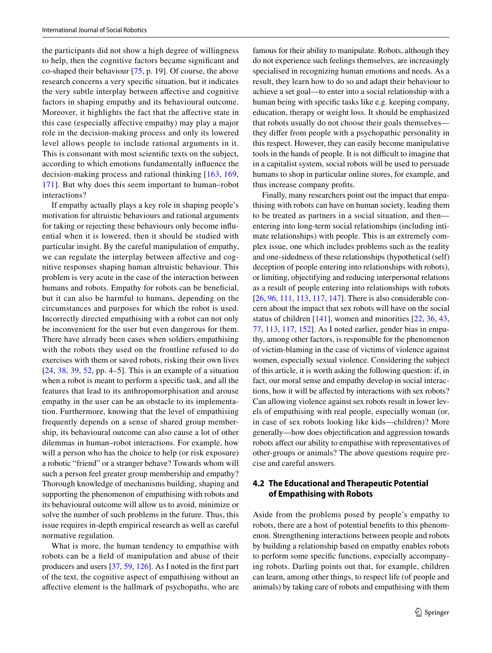the participants did not show a high degree of willingness to help, then the cognitive factors became signifcant and co-shaped their behaviour [\[75](#page-11-16), p. 19]. Of course, the above research concerns a very specifc situation, but it indicates the very subtle interplay between afective and cognitive factors in shaping empathy and its behavioural outcome. Moreover, it highlights the fact that the affective state in this case (especially afective empathy) may play a major role in the decision-making process and only its lowered level allows people to include rational arguments in it. This is consonant with most scientifc texts on the subject, according to which emotions fundamentally infuence the decision-making process and rational thinking [\[163,](#page-13-34) [169,](#page-13-35) [171\]](#page-13-36). But why does this seem important to human–robot interactions?

If empathy actually plays a key role in shaping people's motivation for altruistic behaviours and rational arguments for taking or rejecting these behaviours only become infuential when it is lowered, then it should be studied with particular insight. By the careful manipulation of empathy, we can regulate the interplay between afective and cognitive responses shaping human altruistic behaviour. This problem is very acute in the case of the interaction between humans and robots. Empathy for robots can be beneficial, but it can also be harmful to humans, depending on the circumstances and purposes for which the robot is used. Incorrectly directed empathising with a robot can not only be inconvenient for the user but even dangerous for them. There have already been cases when soldiers empathising with the robots they used on the frontline refused to do exercises with them or saved robots, risking their own lives [\[24,](#page-10-22) [38](#page-10-1), [39,](#page-10-2) [52](#page-11-30), pp. 4–5]. This is an example of a situation when a robot is meant to perform a specifc task, and all the features that lead to its anthropomorphisation and arouse empathy in the user can be an obstacle to its implementation. Furthermore, knowing that the level of empathising frequently depends on a sense of shared group membership, its behavioural outcome can also cause a lot of other dilemmas in human–robot interactions. For example, how will a person who has the choice to help (or risk exposure) a robotic "friend" or a stranger behave? Towards whom will such a person feel greater group membership and empathy? Thorough knowledge of mechanisms building, shaping and supporting the phenomenon of empathising with robots and its behavioural outcome will allow us to avoid, minimize or solve the number of such problems in the future. Thus, this issue requires in-depth empirical research as well as careful normative regulation.

What is more, the human tendency to empathise with robots can be a feld of manipulation and abuse of their producers and users [\[37](#page-10-0), [59](#page-11-31), [126\]](#page-12-30). As I noted in the frst part of the text, the cognitive aspect of empathising without an afective element is the hallmark of psychopaths, who are famous for their ability to manipulate. Robots, although they do not experience such feelings themselves, are increasingly specialised in recognizing human emotions and needs. As a result, they learn how to do so and adapt their behaviour to achieve a set goal—to enter into a social relationship with a human being with specifc tasks like e.g. keeping company, education, therapy or weight loss. It should be emphasized that robots usually do not choose their goals themselves they difer from people with a psychopathic personality in this respect. However, they can easily become manipulative tools in the hands of people. It is not difficult to imagine that in a capitalist system, social robots will be used to persuade humans to shop in particular online stores, for example, and thus increase company profts.

Finally, many researchers point out the impact that empathising with robots can have on human society, leading them to be treated as partners in a social situation, and then entering into long-term social relationships (including intimate relationships) with people. This is an extremely complex issue, one which includes problems such as the reality and one-sidedness of these relationships (hypothetical (self) deception of people entering into relationships with robots), or limiting, objectifying and reducing interpersonal relations as a result of people entering into relationships with robots [\[26](#page-10-29), [96](#page-12-31), [111,](#page-12-32) [113,](#page-12-33) [117](#page-12-34), [147](#page-13-37)]. There is also considerable concern about the impact that sex robots will have on the social status of children [[141\]](#page-13-38), women and minorities [\[22](#page-10-30), [36,](#page-10-8) [43,](#page-10-31) [77](#page-11-32), [113](#page-12-33), [117,](#page-12-34) [152\]](#page-13-39). As I noted earlier, gender bias in empathy, among other factors, is responsible for the phenomenon of victim-blaming in the case of victims of violence against women, especially sexual violence. Considering the subject of this article, it is worth asking the following question: if, in fact, our moral sense and empathy develop in social interactions, how it will be afected by interactions with sex robots? Can allowing violence against sex robots result in lower levels of empathising with real people, especially woman (or, in case of sex robots looking like kids—children)? More generally—how does objectifcation and aggression towards robots afect our ability to empathise with representatives of other-groups or animals? The above questions require precise and careful answers.

## <span id="page-8-0"></span>**4.2 The Educational and Therapeutic Potential of Empathising with Robots**

Aside from the problems posed by people's empathy to robots, there are a host of potential benefts to this phenomenon. Strengthening interactions between people and robots by building a relationship based on empathy enables robots to perform some specifc functions, especially accompanying robots. Darling points out that, for example, children can learn, among other things, to respect life (of people and animals) by taking care of robots and empathising with them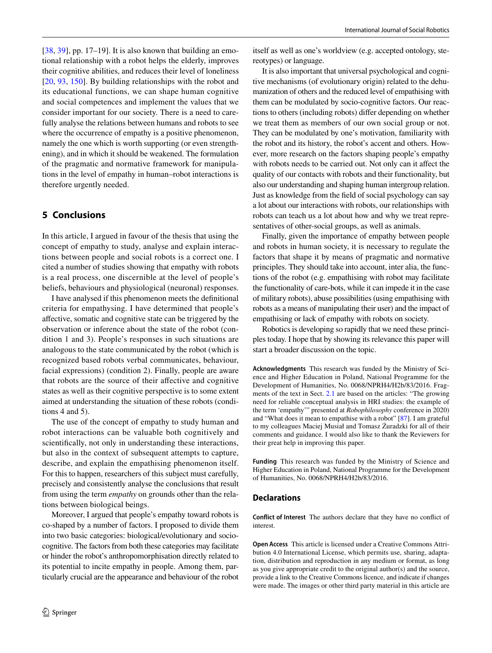$[38, 39]$  $[38, 39]$ , pp. 17–19]. It is also known that building an emotional relationship with a robot helps the elderly, improves their cognitive abilities, and reduces their level of loneliness [\[20,](#page-10-32) [93,](#page-12-35) [150](#page-13-2)]. By building relationships with the robot and its educational functions, we can shape human cognitive and social competences and implement the values that we consider important for our society. There is a need to carefully analyse the relations between humans and robots to see where the occurrence of empathy is a positive phenomenon, namely the one which is worth supporting (or even strengthening), and in which it should be weakened. The formulation of the pragmatic and normative framework for manipulations in the level of empathy in human–robot interactions is therefore urgently needed.

## **5 Conclusions**

In this article, I argued in favour of the thesis that using the concept of empathy to study, analyse and explain interactions between people and social robots is a correct one. I cited a number of studies showing that empathy with robots is a real process, one discernible at the level of people's beliefs, behaviours and physiological (neuronal) responses.

I have analysed if this phenomenon meets the defnitional criteria for empathysing. I have determined that people's afective, somatic and cognitive state can be triggered by the observation or inference about the state of the robot (condition 1 and 3). People's responses in such situations are analogous to the state communicated by the robot (which is recognized based robots verbal communicates, behaviour, facial expressions) (condition 2). Finally, people are aware that robots are the source of their afective and cognitive states as well as their cognitive perspective is to some extent aimed at understanding the situation of these robots (conditions 4 and 5).

The use of the concept of empathy to study human and robot interactions can be valuable both cognitively and scientifcally, not only in understanding these interactions, but also in the context of subsequent attempts to capture, describe, and explain the empathising phenomenon itself. For this to happen, researchers of this subject must carefully, precisely and consistently analyse the conclusions that result from using the term *empathy* on grounds other than the relations between biological beings.

Moreover, I argued that people's empathy toward robots is co-shaped by a number of factors. I proposed to divide them into two basic categories: biological/evolutionary and sociocognitive. The factors from both these categories may facilitate or hinder the robot's anthropomorphisation directly related to its potential to incite empathy in people. Among them, particularly crucial are the appearance and behaviour of the robot

itself as well as one's worldview (e.g. accepted ontology, stereotypes) or language.

It is also important that universal psychological and cognitive mechanisms (of evolutionary origin) related to the dehumanization of others and the reduced level of empathising with them can be modulated by socio-cognitive factors. Our reactions to others (including robots) difer depending on whether we treat them as members of our own social group or not. They can be modulated by one's motivation, familiarity with the robot and its history, the robot's accent and others. However, more research on the factors shaping people's empathy with robots needs to be carried out. Not only can it afect the quality of our contacts with robots and their functionality, but also our understanding and shaping human intergroup relation. Just as knowledge from the feld of social psychology can say a lot about our interactions with robots, our relationships with robots can teach us a lot about how and why we treat representatives of other-social groups, as well as animals.

Finally, given the importance of empathy between people and robots in human society, it is necessary to regulate the factors that shape it by means of pragmatic and normative principles. They should take into account, inter alia, the functions of the robot (e.g. empathising with robot may facilitate the functionality of care-bots, while it can impede it in the case of military robots), abuse possibilities (using empathising with robots as a means of manipulating their user) and the impact of empathising or lack of empathy with robots on society.

Robotics is developing so rapidly that we need these principles today. I hope that by showing its relevance this paper will start a broader discussion on the topic.

**Acknowledgments** This research was funded by the Ministry of Science and Higher Education in Poland, National Programme for the Development of Humanities, No. 0068/NPRH4/H2b/83/2016. Fragments of the text in Sect. [2.1](#page-1-0) are based on the articles: "The growing need for reliable conceptual analysis in HRI studies: the example of the term 'empathy'" presented at *Robophilosophy* conference in 2020) and "What does it mean to empathise with a robot" [[87](#page-12-4)]. I am grateful to my colleagues Maciej Musiał and Tomasz Żuradzki for all of their comments and guidance. I would also like to thank the Reviewers for their great help in improving this paper.

**Funding** This research was funded by the Ministry of Science and Higher Education in Poland, National Programme for the Development of Humanities, No. 0068/NPRH4/H2b/83/2016.

#### **Declarations**

**Conflict of Interest** The authors declare that they have no confict of interest.

**Open Access** This article is licensed under a Creative Commons Attribution 4.0 International License, which permits use, sharing, adaptation, distribution and reproduction in any medium or format, as long as you give appropriate credit to the original author(s) and the source, provide a link to the Creative Commons licence, and indicate if changes were made. The images or other third party material in this article are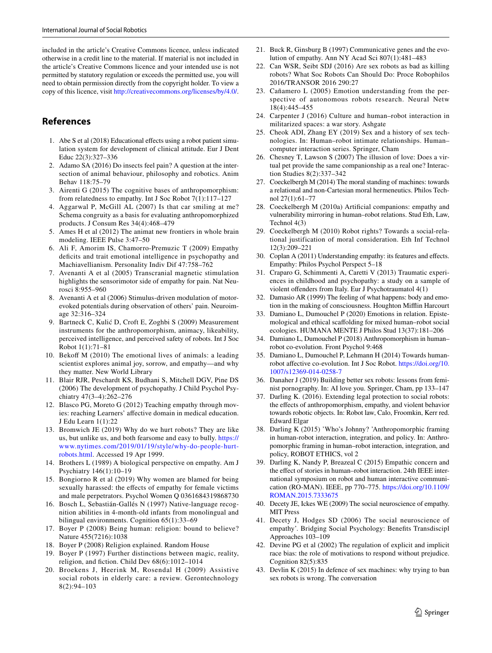included in the article's Creative Commons licence, unless indicated otherwise in a credit line to the material. If material is not included in the article's Creative Commons licence and your intended use is not permitted by statutory regulation or exceeds the permitted use, you will need to obtain permission directly from the copyright holder. To view a copy of this licence, visit <http://creativecommons.org/licenses/by/4.0/>.

# **References**

- <span id="page-10-14"></span>1. Abe S et al (2018) Educational efects using a robot patient simulation system for development of clinical attitude. Eur J Dent Educ 22(3):327–336
- <span id="page-10-13"></span>2. Adamo SA (2016) Do insects feel pain? A question at the intersection of animal behaviour, philosophy and robotics. Anim Behav 118:75–79
- <span id="page-10-18"></span>3. Airenti G (2015) The cognitive bases of anthropomorphism: from relatedness to empathy. Int J Soc Robot 7(1):117–127
- <span id="page-10-21"></span>4. Aggarwal P, McGill AL (2007) Is that car smiling at me? Schema congruity as a basis for evaluating anthropomorphized products. J Consum Res 34(4):468–479
- <span id="page-10-10"></span>5. Ames H et al (2012) The animat new frontiers in whole brain modeling. IEEE Pulse 3:47–50
- 6. Ali F, Amorim IS, Chamorro-Premuzic T (2009) Empathy deficits and trait emotional intelligence in psychopathy and Machiavellianism. Personality Indiv Dif 47:758–762
- <span id="page-10-11"></span>7. Avenanti A et al (2005) Transcranial magnetic stimulation highlights the sensorimotor side of empathy for pain. Nat Neurosci 8:955–960
- <span id="page-10-12"></span>8. Avenanti A et al (2006) Stimulus-driven modulation of motorevoked potentials during observation of others' pain. Neuroimage 32:316–324
- <span id="page-10-23"></span>9. Bartneck C, Kulić D, Croft E, Zoghbi S (2009) Measurement instruments for the anthropomorphism, animacy, likeability, perceived intelligence, and perceived safety of robots. Int J Soc Robot 1(1):71–81
- <span id="page-10-4"></span>10. Bekof M (2010) The emotional lives of animals: a leading scientist explores animal joy, sorrow, and empathy—and why they matter. New World Library
- <span id="page-10-16"></span>11. Blair RJR, Peschardt KS, Budhani S, Mitchell DGV, Pine DS (2006) The development of psychopathy. J Child Psychol Psychiatry 47(3–4):262–276
- 12. Blasco PG, Moreto G (2012) Teaching empathy through movies: reaching Learners' affective domain in medical education. J Edu Learn 1(1):22
- <span id="page-10-27"></span>13. Bromwich JE (2019) Why do we hurt robots? They are like us, but unlike us, and both fearsome and easy to bully. [https://](https://www.nytimes.com/2019/01/19/style/why-do-people-hurt-robots.html) [www.nytimes.com/2019/01/19/style/why-do-people-hurt](https://www.nytimes.com/2019/01/19/style/why-do-people-hurt-robots.html)[robots.html](https://www.nytimes.com/2019/01/19/style/why-do-people-hurt-robots.html). Accessed 19 Apr 1999.
- <span id="page-10-5"></span>14. Brothers L (1989) A biological perspective on empathy. Am J Psychiatry 146(1):10–19
- <span id="page-10-28"></span>15. Bongiorno R et al (2019) Why women are blamed for being sexually harassed: the effects of empathy for female victims and male perpetrators. Psychol Women Q 0361684319868730
- <span id="page-10-25"></span>16. Bosch L, Sebastián-Gallés N (1997) Native-language recognition abilities in 4-month-old infants from monolingual and bilingual environments. Cognition 65(1):33–69
- 17. Boyer P (2008) Being human: religion: bound to believe? Nature 455(7216):1038
- 18. Boyer P (2008) Religion explained. Random House
- <span id="page-10-20"></span>19. Boyer P (1997) Further distinctions between magic, reality, religion, and fiction. Child Dev  $68(6)$ :1012-1014
- <span id="page-10-32"></span>20. Broekens J, Heerink M, Rosendal H (2009) Assistive social robots in elderly care: a review. Gerontechnology 8(2):94–103
- <span id="page-10-15"></span>21. Buck R, Ginsburg B (1997) Communicative genes and the evolution of empathy. Ann NY Acad Sci 807(1):481–483
- <span id="page-10-30"></span>22. Can WSR, Seibt SDJ (2016) Are sex robots as bad as killing robots? What Soc Robots Can Should Do: Proce Robophilos 2016/TRANSOR 2016 290:27
- 23. Cañamero L (2005) Emotion understanding from the perspective of autonomous robots research. Neural Netw 18(4):445–455
- <span id="page-10-22"></span>24. Carpenter J (2016) Culture and human–robot interaction in militarized spaces: a war story. Ashgate
- <span id="page-10-3"></span>25. Cheok ADI, Zhang EY (2019) Sex and a history of sex technologies. In: Human–robot intimate relationships. Human– computer interaction series. Springer, Cham
- <span id="page-10-29"></span>26. Chesney T, Lawson S (2007) The illusion of love: Does a virtual pet provide the same companionship as a real one? Interaction Studies 8(2):337–342
- 27. Coeckelbergh M (2014) The moral standing of machines: towards a relational and non-Cartesian moral hermeneutics. Philos Technol 27(1):61–77
- <span id="page-10-24"></span>28. Coeckelbergh M (2010a) Artifcial companions: empathy and vulnerability mirroring in human–robot relations. Stud Eth, Law, Technol 4(3)
- 29. Coeckelbergh M (2010) Robot rights? Towards a social-relational justification of moral consideration. Eth Inf Technol 12(3):209–221
- <span id="page-10-7"></span>30. Coplan A (2011) Understanding empathy: its features and efects. Empathy: Philos Psychol Perspect 5–18
- <span id="page-10-17"></span>31. Craparo G, Schimmenti A, Caretti V (2013) Traumatic experiences in childhood and psychopathy: a study on a sample of violent ofenders from Italy. Eur J Psychotraumatol 4(1)
- 32. Damasio AR (1999) The feeling of what happens: body and emotion in the making of consciousness. Houghton Mifin Harcourt
- 33. Damiano L, Dumouchel P (2020) Emotions in relation. Epistemological and ethical scafolding for mixed human–robot social ecologies. HUMANA MENTE J Philos Stud 13(37):181–206
- <span id="page-10-19"></span>34. Damiano L, Dumouchel P (2018) Anthropomorphism in human– robot co-evolution. Front Psychol 9:468
- <span id="page-10-9"></span>35. Damiano L, Dumouchel P, Lehmann H (2014) Towards humanrobot affective co-evolution. Int J Soc Robot. [https://doi.org/10.](https://doi.org/10.1007/s12369-014-0258-7) [1007/s12369-014-0258-7](https://doi.org/10.1007/s12369-014-0258-7)
- <span id="page-10-8"></span>36. Danaher J (2019) Building better sex robots: lessons from feminist pornography. In: AI love you. Springer, Cham, pp 133–147
- <span id="page-10-0"></span>37. Darling K. (2016). Extending legal protection to social robots: the effects of anthropomorphism, empathy, and violent behavior towards robotic objects. In: Robot law, Calo, Froomkin, Kerr red. Edward Elgar
- <span id="page-10-1"></span>38. Darling K (2015) 'Who's Johnny? 'Anthropomorphic framing in human-robot interaction, integration, and policy. In: Anthropomorphic framing in human–robot interaction, integration, and policy, ROBOT ETHICS, vol 2
- <span id="page-10-2"></span>39. Darling K, Nandy P, Breazeal C (2015) Empathic concern and the efect of stories in human–robot interaction. 24th IEEE international symposium on robot and human interactive communication (RO-MAN). IEEE, pp 770–775. [https://doi.org/10.1109/](https://doi.org/10.1109/ROMAN.2015.7333675) [ROMAN.2015.7333675](https://doi.org/10.1109/ROMAN.2015.7333675)
- <span id="page-10-6"></span>40. Decety JE, Ickes WE (2009) The social neuroscience of empathy. MIT Press
- 41. Decety J, Hodges SD (2006) The social neuroscience of empathy'. Bridging Social Psychology: Benefts Transdiscipl Approaches 103–109
- <span id="page-10-26"></span>42. Devine PG et al (2002) The regulation of explicit and implicit race bias: the role of motivations to respond without prejudice. Cognition 82(5):835
- <span id="page-10-31"></span>43. Devlin K (2015) In defence of sex machines: why trying to ban sex robots is wrong. The conversation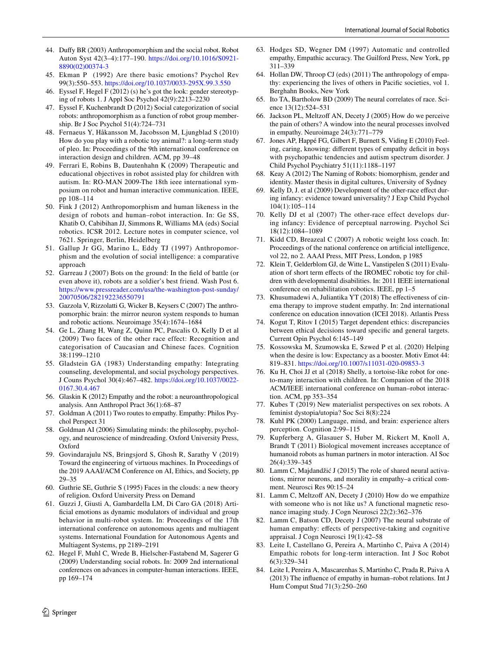- <span id="page-11-14"></span>44. Dufy BR (2003) Anthropomorphism and the social robot. Robot Auton Syst 42(3–4):177–190. [https://doi.org/10.1016/S0921-](https://doi.org/10.1016/S0921-8890(02)00374-3) [8890\(02\)00374-3](https://doi.org/10.1016/S0921-8890(02)00374-3)
- <span id="page-11-13"></span>45. Ekman P (1992) Are there basic emotions? Psychol Rev 99(3):550–553. <https://doi.org/10.1037/0033-295X.99.3.550>
- <span id="page-11-27"></span>46. Eyssel F, Hegel F (2012) (s) he's got the look: gender stereotyping of robots 1. J Appl Soc Psychol 42(9):2213–2230
- <span id="page-11-20"></span>47. Eyssel F, Kuchenbrandt D (2012) Social categorization of social robots: anthropomorphism as a function of robot group membership. Br J Soc Psychol 51(4):724–731
- <span id="page-11-1"></span>48. Fernaeus Y, Håkansson M, Jacobsson M, Ljungblad S (2010) How do you play with a robotic toy animal?: a long-term study of pleo. In: Proceedings of the 9th international conference on interaction design and children. ACM, pp 39–48
- <span id="page-11-3"></span>49. Ferrari E, Robins B, Dautenhahn K (2009) Therapeutic and educational objectives in robot assisted play for children with autism. In: RO-MAN 2009-The 18th ieee international symposium on robot and human interactive communication. IEEE, pp 108–114
- <span id="page-11-21"></span>50. Fink J (2012) Anthropomorphism and human likeness in the design of robots and human–robot interaction. In: Ge SS, Khatib O, Cabibihan JJ, Simmons R, Williams MA (eds) Social robotics. ICSR 2012. Lecture notes in computer science, vol 7621. Springer, Berlin, Heidelberg
- <span id="page-11-17"></span>51. Gallup Jr GG, Marino L, Eddy TJ (1997) Anthropomorphism and the evolution of social intelligence: a comparative approach
- <span id="page-11-30"></span>52. Garreau J (2007) Bots on the ground: In the feld of battle (or even above it), robots are a soldier's best friend. Wash Post 6. [https://www.pressreader.com/usa/the-washington-post-sunday/](https://www.pressreader.com/usa/the-washington-post-sunday/20070506/282192236550791) [20070506/282192236550791](https://www.pressreader.com/usa/the-washington-post-sunday/20070506/282192236550791)
- <span id="page-11-11"></span>53. Gazzola V, Rizzolatti G, Wicker B, Keysers C (2007) The anthropomorphic brain: the mirror neuron system responds to human and robotic actions. Neuroimage 35(4):1674–1684
- <span id="page-11-24"></span>54. Ge L, Zhang H, Wang Z, Quinn PC, Pascalis O, Kelly D et al (2009) Two faces of the other race effect: Recognition and categorisation of Caucasian and Chinese faces. Cognition 38:1199–1210
- <span id="page-11-5"></span>55. Gladstein GA (1983) Understanding empathy: Integrating counseling, developmental, and social psychology perspectives. J Couns Psychol 30(4):467–482. [https://doi.org/10.1037/0022-](https://doi.org/10.1037/0022-0167.30.4.467) [0167.30.4.467](https://doi.org/10.1037/0022-0167.30.4.467)
- <span id="page-11-28"></span>56. Glaskin K (2012) Empathy and the robot: a neuroanthropological analysis. Ann Anthropol Pract 36(1):68–87
- <span id="page-11-8"></span>57. Goldman A (2011) Two routes to empathy. Empathy: Philos Psychol Perspect 31
- 58. Goldman AI (2006) Simulating minds: the philosophy, psychology, and neuroscience of mindreading. Oxford University Press, Oxford
- <span id="page-11-31"></span>59. Govindarajulu NS, Bringsjord S, Ghosh R, Sarathy V (2019) Toward the engineering of virtuous machines. In Proceedings of the 2019 AAAI/ACM Conference on AI, Ethics, and Society, pp 29–35
- <span id="page-11-18"></span>60. Guthrie SE, Guthrie S (1995) Faces in the clouds: a new theory of religion. Oxford University Press on Demand
- 61. Guzzi J, Giusti A, Gambardella LM, Di Caro GA (2018) Artificial emotions as dynamic modulators of individual and group behavior in multi-robot system. In: Proceedings of the 17th international conference on autonomous agents and multiagent systems. International Foundation for Autonomous Agents and Multiagent Systems, pp 2189–2191
- <span id="page-11-0"></span>62. Hegel F, Muhl C, Wrede B, Hielscher-Fastabend M, Sagerer G (2009) Understanding social robots. In: 2009 2nd international conferences on advances in computer-human interactions. IEEE, pp 169–174
- 63. Hodges SD, Wegner DM (1997) Automatic and controlled empathy, Empathic accuracy. The Guilford Press, New York, pp 311–339
- <span id="page-11-6"></span>64. Hollan DW, Throop CJ (eds) (2011) The anthropology of empathy: experiencing the lives of others in Pacifc societies, vol 1. Berghahn Books, New York
- <span id="page-11-26"></span>65. Ito TA, Bartholow BD (2009) The neural correlates of race. Science 13(12):524–531
- <span id="page-11-9"></span>66. Jackson PL, Meltzoff AN, Decety J (2005) How do we perceive the pain of others? A window into the neural processes involved in empathy. Neuroimage 24(3):771–779
- <span id="page-11-10"></span>67. Jones AP, Happé FG, Gilbert F, Burnett S, Viding E (2010) Feeling, caring, knowing: different types of empathy deficit in boys with psychopathic tendencies and autism spectrum disorder. J Child Psychol Psychiatry 51(11):1188–1197
- 68. Keay A (2012) The Naming of Robots: biomorphism, gender and identity. Master thesis in digital cultures, University of Sydney
- <span id="page-11-23"></span>69. Kelly D, J. et al (2009) Development of the other-race efect during infancy: evidence toward universality? J Exp Child Psychol 104(1):105–114
- <span id="page-11-22"></span>70. Kelly DJ et al (2007) The other-race effect develops during infancy: Evidence of perceptual narrowing. Psychol Sci 18(12):1084–1089
- <span id="page-11-2"></span>71. Kidd CD, Breazeal C (2007) A robotic weight loss coach. In: Proceedings of the national conference on artifcial intelligence, vol 22, no 2. AAAI Press, MIT Press, London, p 1985
- <span id="page-11-4"></span>72. Klein T, Gelderblom GJ, de Witte L, Vanstipelen S (2011) Evaluation of short term efects of the IROMEC robotic toy for children with developmental disabilities. In: 2011 IEEE international conference on rehabilitation robotics. IEEE, pp 1–5
- 73. Khusumadewi A, Juliantika YT (2018) The efectiveness of cinema therapy to improve student empathy. In: 2nd international conference on education innovation (ICEI 2018). Atlantis Press
- <span id="page-11-29"></span>74. Kogut T, Ritov I (2015) Target dependent ethics: discrepancies between ethical decisions toward specifc and general targets. Current Opin Psychol 6:145–149
- <span id="page-11-16"></span>75. Kossowska M, Szumowska E, Szwed P et al. (2020) Helping when the desire is low: Expectancy as a booster. Motiv Emot 44: 819–831. <https://doi.org/10.1007/s11031-020-09853-3>
- 76. Ku H, Choi JJ et al (2018) Shelly, a tortoise-like robot for oneto-many interaction with children. In: Companion of the 2018 ACM/IEEE international conference on human–robot interaction. ACM, pp 353–354
- <span id="page-11-32"></span>77. Kubes T (2019) New materialist perspectives on sex robots. A feminist dystopia/utopia? Soc Sci 8(8):224
- <span id="page-11-25"></span>78. Kuhl PK (2000) Language, mind, and brain: experience alters perception. Cognition 2:99–115
- <span id="page-11-15"></span>79. Kupferberg A, Glasauer S, Huber M, Rickert M, Knoll A, Brandt T (2011) Biological movement increases acceptance of humanoid robots as human partners in motor interaction. AI Soc 26(4):339–345
- <span id="page-11-12"></span>80. Lamm C, Majdandžić J (2015) The role of shared neural activations, mirror neurons, and morality in empathy–a critical comment. Neurosci Res 90:15–24
- 81. Lamm C, Meltzoff AN, Decety J (2010) How do we empathize with someone who is not like us? A functional magnetic resonance imaging study. J Cogn Neurosci 22(2):362–376
- 82. Lamm C, Batson CD, Decety J (2007) The neural substrate of human empathy: effects of perspective-taking and cognitive appraisal. J Cogn Neurosci 19(1):42–58
- <span id="page-11-19"></span>83. Leite I, Castellano G, Pereira A, Martinho C, Paiva A (2014) Empathic robots for long-term interaction. Int J Soc Robot 6(3):329–341
- <span id="page-11-7"></span>84. Leite I, Pereira A, Mascarenhas S, Martinho C, Prada R, Paiva A (2013) The infuence of empathy in human–robot relations. Int J Hum Comput Stud 71(3):250–260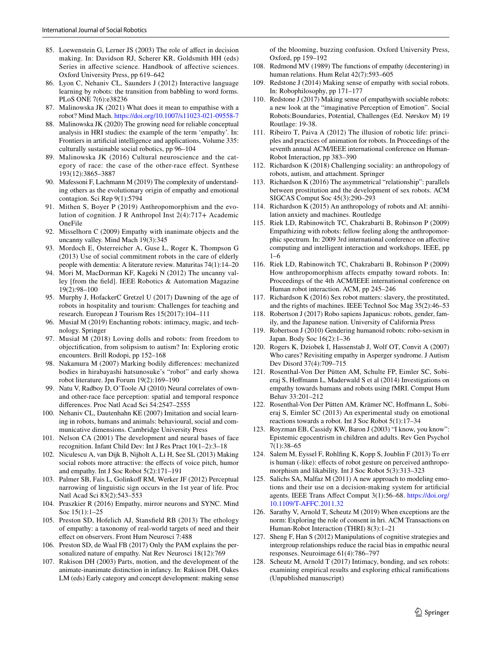- <span id="page-12-29"></span>85. Loewenstein G, Lerner JS (2003) The role of afect in decision making. In: Davidson RJ, Scherer KR, Goldsmith HH (eds) Series in affective science. Handbook of affective sciences. Oxford University Press, pp 619–642
- 86. Lyon C, Nehaniv CL, Saunders J (2012) Interactive language learning by robots: the transition from babbling to word forms. PLoS ONE 7(6):e38236
- <span id="page-12-4"></span>87. Malinowska JK (2021) What does it mean to empathise with a robot? Mind Mach.<https://doi.org/10.1007/s11023-021-09558-7>
- <span id="page-12-5"></span>88. Malinowska JK (2020) The growing need for reliable conceptual analysis in HRI studies: the example of the term 'empathy'. In: Frontiers in artifcial intelligence and applications, Volume 335: culturally sustainable social robotics, pp 96–104
- <span id="page-12-22"></span>89. Malinowska JK (2016) Cultural neuroscience and the category of race: the case of the other-race effect. Synthese 193(12):3865–3887
- <span id="page-12-15"></span>90. Mafessoni F, Lachmann M (2019) The complexity of understanding others as the evolutionary origin of empathy and emotional contagion. Sci Rep 9(1):5794
- <span id="page-12-19"></span>91. Mithen S, Boyer P (2019) Anthropomorphism and the evolution of cognition. J R Anthropol Inst 2(4):717+ Academic OneFile
- <span id="page-12-9"></span>92. Misselhorn C (2009) Empathy with inanimate objects and the uncanny valley. Mind Mach 19(3):345
- <span id="page-12-35"></span>93. Mordoch E, Osterreicher A, Guse L, Roger K, Thompson G (2013) Use of social commitment robots in the care of elderly people with dementia: A literature review. Maturitas 74(1):14–20
- <span id="page-12-25"></span>94. Mori M, MacDorman KF, Kageki N (2012) The uncanny valley [from the feld]. IEEE Robotics & Automation Magazine 19(2):98–100
- <span id="page-12-1"></span>95. Murphy J, HofackerC Gretzel U (2017) Dawning of the age of robots in hospitality and tourism: Challenges for teaching and research. European J Tourism Res 15(2017):104–111
- <span id="page-12-31"></span>96. Musiał M (2019) Enchanting robots: intimacy, magic, and technology. Springer
- 97. Musiał M (2018) Loving dolls and robots: from freedom to objectifcation, from solipsism to autism? In: Exploring erotic encounters. Brill Rodopi, pp 152–168
- <span id="page-12-28"></span>98. Nakamura M (2007) Marking bodily diferences: mechanized bodies in hirabayashi hatsunosuke's "robot" and early showa robot literature. Jpn Forum 19(2):169–190
- <span id="page-12-23"></span>99. Natu V, Radboy D, O'Toole AJ (2010) Neural correlates of ownand other-race face perception: spatial and temporal responce diferences. Proc Natl Acad Sci 54:2547–2555
- 100. Nehaniv CL, Dautenhahn KE (2007) Imitation and social learning in robots, humans and animals: behavioural, social and communicative dimensions. Cambridge University Press
- <span id="page-12-21"></span>101. Nelson CA (2001) The development and neural bases of face recognition. Infant Child Dev: Int J Res Pract 10(1–2):3–18
- <span id="page-12-0"></span>102. Niculescu A, van Dijk B, Nijholt A, Li H, See SL (2013) Making social robots more attractive: the effects of voice pitch, humor and empathy. Int J Soc Robot 5(2):171–191
- <span id="page-12-24"></span>103. Palmer SB, Fais L, Golinkoff RM, Werker JF (2012) Perceptual narrowing of linguistic sign occurs in the 1st year of life. Proc Natl Acad Sci 83(2):543–553
- <span id="page-12-13"></span>104. Praszkier R (2016) Empathy, mirror neurons and SYNC. Mind Soc 15(1):1–25
- <span id="page-12-2"></span>105. Preston SD, Hofelich AJ, Stansfeld RB (2013) The ethology of empathy: a taxonomy of real-world targets of need and their efect on observers. Front Hum Neurosci 7:488
- <span id="page-12-14"></span>106. Preston SD, de Waal FB (2017) Only the PAM explains the personalized nature of empathy. Nat Rev Neurosci 18(12):769
- <span id="page-12-27"></span>107. Rakison DH (2003) Parts, motion, and the development of the animate-inanimate distinction in infancy. In: Rakison DH, Oakes LM (eds) Early category and concept development: making sense

of the blooming, buzzing confusion. Oxford University Press, Oxford, pp 159–192

- <span id="page-12-3"></span>108. Redmond MV (1989) The functions of empathy (decentering) in human relations. Hum Relat 42(7):593–605
- <span id="page-12-7"></span>109. Redstone J (2014) Making sense of empathy with social robots. In: Robophilosophy, pp 171–177
- <span id="page-12-8"></span>110. Redstone J (2017) Making sense of empathywith sociable robots: a new look at the "imaginative Perception of Emotion". Social Robots:Boundaries, Potential, Challenges (Ed. Nørskov M) 19 Routlage: 19-38.
- <span id="page-12-32"></span>111. Ribeiro T, Paiva A (2012) The illusion of robotic life: principles and practices of animation for robots. In Proceedings of the seventh annual ACM/IEEE international conference on Human-Robot Interaction, pp 383–390
- 112. Richardson K (2018) Challenging sociality: an anthropology of robots, autism, and attachment. Springer
- <span id="page-12-33"></span>113. Richardson K (2016) The asymmetrical "relationship": parallels between prostitution and the development of sex robots. ACM SIGCAS Comput Soc 45(3):290–293
- 114. Richardson K (2015) An anthropology of robots and AI: annihilation anxiety and machines. Routledge
- <span id="page-12-16"></span>115. Riek LD, Rabinowitch TC, Chakrabarti B, Robinson P (2009) Empathizing with robots: fellow feeling along the anthropomorphic spectrum. In: 2009 3rd international conference on afective computing and intelligent interaction and workshops. IEEE, pp 1–6
- <span id="page-12-17"></span>116. Riek LD, Rabinowitch TC, Chakrabarti B, Robinson P (2009) How anthropomorphism affects empathy toward robots. In: Proceedings of the 4th ACM/IEEE international conference on Human robot interaction. ACM, pp 245–246
- <span id="page-12-34"></span>117. Richardson K (2016) Sex robot matters: slavery, the prostituted, and the rights of machines. IEEE Technol Soc Mag 35(2):46–53
- 118. Robertson J (2017) Robo sapiens Japanicus: robots, gender, family, and the Japanese nation. University of California Press
- <span id="page-12-26"></span>119. Robertson J (2010) Gendering humanoid robots: robo-sexism in Japan. Body Soc 16(2):1–36
- <span id="page-12-6"></span>120. Rogers K, Dziobek I, Hassenstab J, Wolf OT, Convit A (2007) Who cares? Revisiting empathy in Asperger syndrome. J Autism Dev Disord 37(4):709–715
- <span id="page-12-11"></span>121. Rosenthal-Von Der Pütten AM, Schulte FP, Eimler SC, Sobieraj S, Hofmann L, Maderwald S et al (2014) Investigations on empathy towards humans and robots using fMRI. Comput Hum Behav 33:201–212
- <span id="page-12-12"></span>122. Rosenthal-Von Der Pütten AM, Krämer NC, Hofmann L, Sobieraj S, Eimler SC (2013) An experimental study on emotional reactions towards a robot. Int J Soc Robot 5(1):17–34
- 123. Royzman EB, Cassidy KW, Baron J (2003) "I know, you know": Epistemic egocentrism in children and adults. Rev Gen Psychol 7(1):38–65
- <span id="page-12-20"></span>124. Salem M, Eyssel F, Rohlfng K, Kopp S, Joublin F (2013) To err is human (-like): effects of robot gesture on perceived anthropomorphism and likability. Int J Soc Robot 5(3):313–323
- 125. Salichs SA, Malfaz M (2011) A new approach to modeling emotions and their use on a decision-making system for artifcial agents. IEEE Trans Afect Comput 3(1):56–68. [https://doi.org/](https://doi.org/10.1109/T-AFFC.2011.32) [10.1109/T-AFFC.2011.32](https://doi.org/10.1109/T-AFFC.2011.32)
- <span id="page-12-30"></span>126. Sarathy V, Arnold T, Scheutz M (2019) When exceptions are the norm: Exploring the role of consent in hri. ACM Transactions on Human-Robot Interaction (THRI) 8(3):1–21
- <span id="page-12-18"></span>127. Sheng F, Han S (2012) Manipulations of cognitive strategies and intergroup relationships reduce the racial bias in empathic neural responses. Neuroimage 61(4):786–797
- <span id="page-12-10"></span>128. Scheutz M, Arnold T (2017) Intimacy, bonding, and sex robots: examining empirical results and exploring ethical ramifcations (Unpublished manuscript)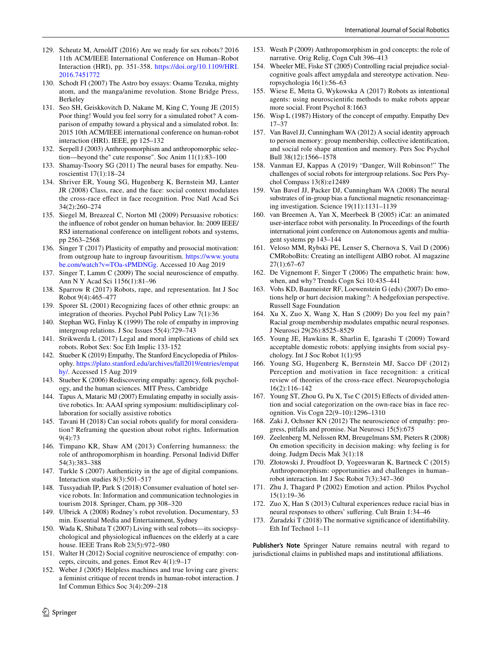- <span id="page-13-12"></span>129. Scheutz M, ArnoldT (2016) Are we ready for sex robots? 2016 11th ACM/IEEE International Conference on Human–Robot Interaction (HRI), pp. 351-358. [https://doi.org/10.1109/HRI.](https://doi.org/10.1109/HRI.2016.7451772) [2016.7451772](https://doi.org/10.1109/HRI.2016.7451772)
- <span id="page-13-32"></span>130. Schodt FI (2007) The Astro boy essays: Osamu Tezuka, mighty atom, and the manga/anime revolution. Stone Bridge Press, Berkeley
- <span id="page-13-0"></span>131. Seo SH, Geiskkovitch D, Nakane M, King C, Young JE (2015) Poor thing! Would you feel sorry for a simulated robot? A comparison of empathy toward a physical and a simulated robot. In: 2015 10th ACM/IEEE international conference on human-robot interaction (HRI). IEEE, pp 125–132
- <span id="page-13-20"></span>132. Serpell J (2003) Anthropomorphism and anthropomorphic selection—beyond the" cute response". Soc Anim 11(1):83–100
- <span id="page-13-14"></span>133. Shamay-Tsoory SG (2011) The neural bases for empathy. Neuroscientist 17(1):18–24
- <span id="page-13-24"></span>134. Shriver ER, Young SG, Hugenberg K, Bernstein MJ, Lanter JR (2008) Class, race, and the face: social context modulates the cross-race efect in face recognition. Proc Natl Acad Sci 34(2):260–274
- <span id="page-13-30"></span>135. Siegel M, Breazeal C, Norton MI (2009) Persuasive robotics: the infuence of robot gender on human behavior. In: 2009 IEEE/ RSJ international conference on intelligent robots and systems, pp 2563–2568
- 136. Singer T (2017) Plasticity of empathy and prosocial motivation: from outgroup hate to ingroup favouritism. [https://www.youtu](https://www.youtube.com/watch?v=TOa-sPMDNGg) [be.com/watch?v=TOa-sPMDNGg.](https://www.youtube.com/watch?v=TOa-sPMDNGg) Accessed 10 Aug 2019
- <span id="page-13-8"></span>137. Singer T, Lamm C (2009) The social neuroscience of empathy. Ann N Y Acad Sci 1156(1):81–96
- 138. Sparrow R (2017) Robots, rape, and representation. Int J Soc Robot 9(4):465–477
- <span id="page-13-23"></span>139. Sporer SL (2001) Recognizing faces of other ethnic groups: an integration of theories. Psychol Publ Policy Law 7(1):36
- <span id="page-13-10"></span>140. Stephan WG, Finlay K (1999) The role of empathy in improving intergroup relations. J Soc Issues 55(4):729–743
- <span id="page-13-38"></span>141. Strikwerda L (2017) Legal and moral implications of child sex robots. Robot Sex: Soc Eth Implic 133-152
- <span id="page-13-11"></span>142. Stueber K (2019) Empathy, The Stanford Encyclopedia of Philosophy. [https://plato.stanford.edu/archives/fall2019/entries/empat](https://plato.stanford.edu/archives/fall2019/entries/empathy/) [hy/](https://plato.stanford.edu/archives/fall2019/entries/empathy/). Accessed 15 Aug 2019
- 143. Stueber K (2006) Rediscovering empathy: agency, folk psychology, and the human sciences. MIT Press, Cambridge
- <span id="page-13-1"></span>144. Tapus A, Mataric MJ (2007) Emulating empathy in socially assistive robotics. In: AAAI spring symposium: multidisciplinary collaboration for socially assistive robotics
- 145. Tavani H (2018) Can social robots qualify for moral consideration? Reframing the question about robot rights. Information 9(4):73
- <span id="page-13-21"></span>146. Timpano KR, Shaw AM (2013) Conferring humanness: the role of anthropomorphism in hoarding. Personal Individ Difer 54(3):383–388
- <span id="page-13-37"></span>147. Turkle S (2007) Authenticity in the age of digital companions. Interaction studies 8(3):501–517
- <span id="page-13-4"></span>148. Tussyadiah IP, Park S (2018) Consumer evaluation of hotel service robots. In: Information and communication technologies in tourism 2018. Springer, Cham, pp 308–320
- <span id="page-13-31"></span>149. Ulbrick A (2008) Rodney's robot revolution. Documentary, 53 min. Essential Media and Entertainment, Sydney
- <span id="page-13-2"></span>150. Wada K, Shibata T (2007) Living with seal robots—its sociopsychological and physiological infuences on the elderly at a care house. IEEE Trans Rob 23(5):972–980
- <span id="page-13-15"></span>151. Walter H (2012) Social cognitive neuroscience of empathy: concepts, circuits, and genes. Emot Rev 4(1):9–17
- <span id="page-13-39"></span>152. Weber J (2005) Helpless machines and true loving care givers: a feminist critique of recent trends in human-robot interaction. J Inf Commun Ethics Soc 3(4):209–218
- <span id="page-13-22"></span>153. Westh P (2009) Anthropomorphism in god concepts: the role of narrative. Orig Relig, Cogn Cult 396–413
- <span id="page-13-25"></span>154. Wheeler ME, Fiske ST (2005) Controlling racial prejudice socialcognitive goals afect amygdala and stereotype activation. Neuropsychologia 16(1):56–63
- <span id="page-13-13"></span>155. Wiese E, Metta G, Wykowska A (2017) Robots as intentional agents: using neuroscientifc methods to make robots appear more social. Front Psychol 8:1663
- <span id="page-13-7"></span>156. Wisp L (1987) History of the concept of empathy. Empathy Dev 17–37
- <span id="page-13-16"></span>157. Van Bavel JJ, Cunningham WA (2012) A social identity approach to person memory: group membership, collective identifcation, and social role shape attention and memory. Pers Soc Psychol Bull 38(12):1566–1578
- <span id="page-13-29"></span>158. Vanman EJ, Kappas A (2019) "Danger, Will Robinson!" The challenges of social robots for intergroup relations. Soc Pers Psychol Compass 13(8):e12489
- <span id="page-13-28"></span>159. Van Bavel JJ, Packer DJ, Cunningham WA (2008) The neural substrates of in-group bias a functional magnetic resonanceimaging investigation. Science 19(11):1131–1139
- <span id="page-13-5"></span>160. van Breemen A, Yan X, Meerbeek B (2005) iCat: an animated user-interface robot with personality. In Proceedings of the fourth international joint conference on Autonomous agents and multiagent systems pp 143–144
- <span id="page-13-3"></span>161. Veloso MM, Rybski PE, Lenser S, Chernova S, Vail D (2006) CMRoboBits: Creating an intelligent AIBO robot. AI magazine 27(1):67–67
- <span id="page-13-6"></span>162. De Vignemont F, Singer T (2006) The empathetic brain: how, when, and why? Trends Cogn Sci 10:435–441
- <span id="page-13-34"></span>163. Vohs KD, Baumeister RF, Loewenstein G (eds) (2007) Do emotions help or hurt decision making?: A hedgefoxian perspective. Russell Sage Foundation
- <span id="page-13-17"></span>164. Xu X, Zuo X, Wang X, Han S (2009) Do you feel my pain? Racial group membership modulates empathic neural responses. J Neurosci 29(26):8525–8529
- 165. Young JE, Hawkins R, Sharlin E, Igarashi T (2009) Toward acceptable domestic robots: applying insights from social psychology. Int J Soc Robot 1(1):95
- <span id="page-13-26"></span>166. Young SG, Hugenberg K, Bernstein MJ, Sacco DF (2012) Perception and motivation in face recognition: a critical review of theories of the cross-race efect. Neuropsychologia 16(2):116–142
- <span id="page-13-27"></span>167. Young ST, Zhou G, Pu X, Tse C (2015) Efects of divided attention and social categorization on the own-race bias in face recognition. Vis Cogn 22(9–10):1296–1310
- <span id="page-13-9"></span>168. Zaki J, Ochsner KN (2012) The neuroscience of empathy: progress, pitfalls and promise. Nat Neurosci 15(5):675
- <span id="page-13-35"></span>169. Zeelenberg M, Nelissen RM, Breugelmans SM, Pieters R (2008) On emotion specifcity in decision making: why feeling is for doing. Judgm Decis Mak 3(1):18
- <span id="page-13-19"></span>170. Złotowski J, Proudfoot D, Yogeeswaran K, Bartneck C (2015) Anthropomorphism: opportunities and challenges in human– robot interaction. Int J Soc Robot 7(3):347–360
- <span id="page-13-36"></span>171. Zhu J, Thagard P (2002) Emotion and action. Philos Psychol 15(1):19–36
- <span id="page-13-18"></span>172. Zuo X, Han S (2013) Cultural experiences reduce racial bias in neural responses to others' sufering. Cult Brain 1:34–46
- <span id="page-13-33"></span>173. Żuradzki T (2018) The normative signifcance of identifability. Eth Inf Technol 1–11

**Publisher's Note** Springer Nature remains neutral with regard to jurisdictional claims in published maps and institutional affiliations.